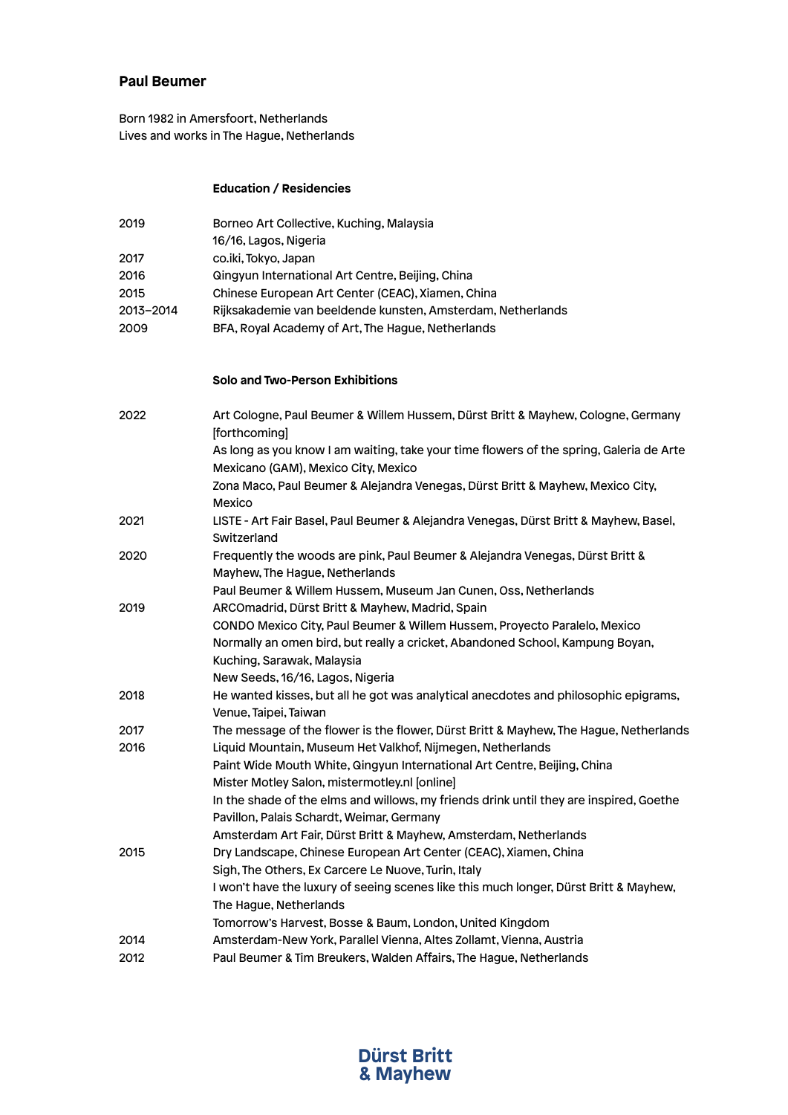## **Paul Beumer**

Born 1982 in Amersfoort, Netherlands Lives and works in The Hague, Netherlands

### **Education / Residencies**

| 2019      | Borneo Art Collective, Kuching, Malaysia                                                |
|-----------|-----------------------------------------------------------------------------------------|
|           | 16/16, Lagos, Nigeria                                                                   |
| 2017      | co.iki, Tokyo, Japan                                                                    |
| 2016      | Qingyun International Art Centre, Beijing, China                                        |
| 2015      | Chinese European Art Center (CEAC), Xiamen, China                                       |
| 2013-2014 | Rijksakademie van beeldende kunsten, Amsterdam, Netherlands                             |
| 2009      | BFA, Royal Academy of Art, The Hague, Netherlands                                       |
|           |                                                                                         |
|           |                                                                                         |
|           | Solo and Two-Person Exhibitions                                                         |
|           |                                                                                         |
| 2022      | Art Cologne, Paul Beumer & Willem Hussem, Dürst Britt & Mayhew, Cologne, Germany        |
|           | [forthcoming]                                                                           |
|           | As long as you know I am waiting, take your time flowers of the spring, Galeria de Arte |
|           | Mexicano (GAM), Mexico City, Mexico                                                     |
|           | Zona Maco, Paul Beumer & Alejandra Venegas, Dürst Britt & Mayhew, Mexico City,          |
|           | Mexico                                                                                  |
| 2021      | LISTE - Art Fair Basel, Paul Beumer & Alejandra Venegas, Dürst Britt & Mayhew, Basel,   |
|           | Switzerland                                                                             |
| 2020      | Frequently the woods are pink, Paul Beumer & Alejandra Venegas, Dürst Britt &           |
|           | Mayhew, The Hague, Netherlands                                                          |
|           | Paul Beumer & Willem Hussem, Museum Jan Cunen, Oss, Netherlands                         |
| 2019      | ARCOmadrid, Dürst Britt & Mayhew, Madrid, Spain                                         |
|           | CONDO Mexico City, Paul Beumer & Willem Hussem, Proyecto Paralelo, Mexico               |
|           | Normally an omen bird, but really a cricket, Abandoned School, Kampung Boyan,           |
|           | Kuching, Sarawak, Malaysia                                                              |
|           | New Seeds, 16/16, Lagos, Nigeria                                                        |
| 2018      | He wanted kisses, but all he got was analytical anecdotes and philosophic epigrams,     |
|           | Venue, Taipei, Taiwan                                                                   |
| 2017      | The message of the flower is the flower, Dürst Britt & Mayhew, The Hague, Netherlands   |
| 2016      | Liquid Mountain, Museum Het Valkhof, Nijmegen, Netherlands                              |
|           | Paint Wide Mouth White, Qingyun International Art Centre, Beijing, China                |
|           | Mister Motley Salon, mistermotley.nl [online]                                           |
|           | In the shade of the elms and willows, my friends drink until they are inspired, Goethe  |
|           | Pavillon, Palais Schardt, Weimar, Germany                                               |
|           | Amsterdam Art Fair, Dürst Britt & Mayhew, Amsterdam, Netherlands                        |
| 2015      | Dry Landscape, Chinese European Art Center (CEAC), Xiamen, China                        |
|           | Sigh, The Others, Ex Carcere Le Nuove, Turin, Italy                                     |
|           | I won't have the luxury of seeing scenes like this much longer, Dürst Britt & Mayhew,   |
|           | The Hague, Netherlands                                                                  |
|           | Tomorrow's Harvest, Bosse & Baum, London, United Kingdom                                |
| 2014      | Amsterdam-New York, Parallel Vienna, Altes Zollamt, Vienna, Austria                     |
| 2012      | Paul Beumer & Tim Breukers, Walden Affairs, The Hague, Netherlands                      |
|           |                                                                                         |

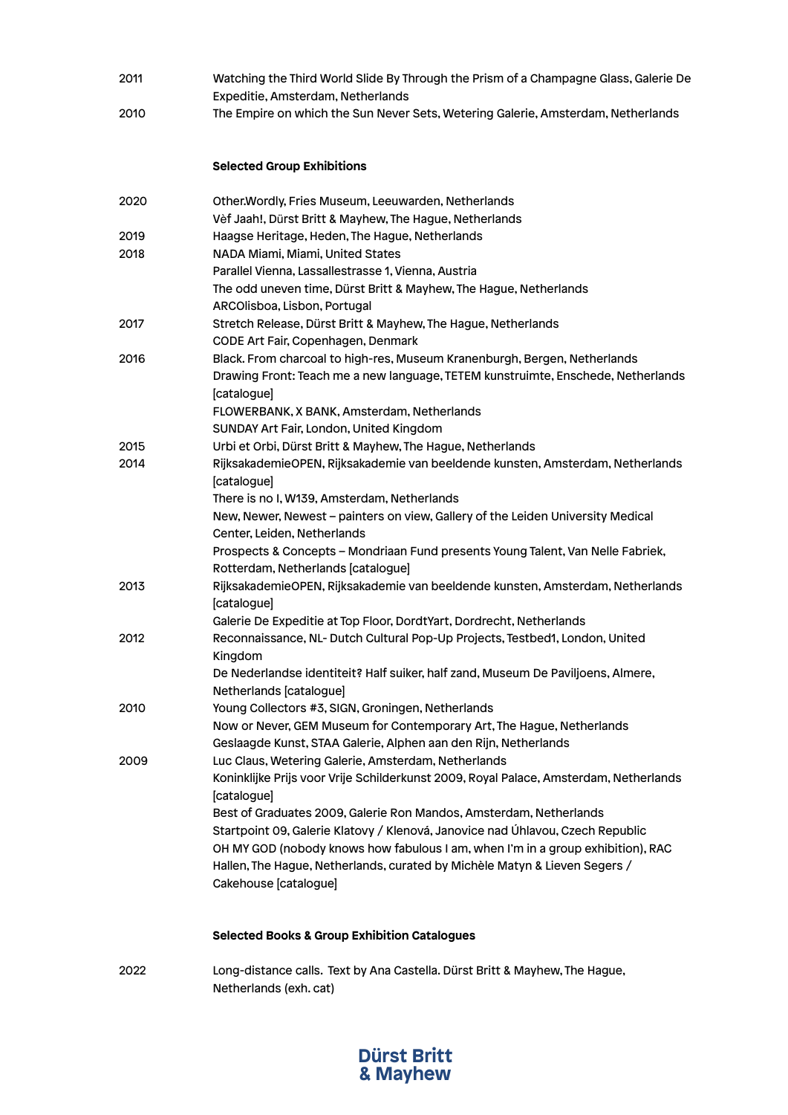- 2011 Watching the Third World Slide By Through the Prism of a Champagne Glass, Galerie De Expeditie, Amsterdam, Netherlands
- 2010 The Empire on which the Sun Never Sets, Wetering Galerie, Amsterdam, Netherlands

### **Selected Group Exhibitions**

| 2020 | Other. Wordly, Fries Museum, Leeuwarden, Netherlands                                                        |
|------|-------------------------------------------------------------------------------------------------------------|
|      | Vèf Jaah!, Dürst Britt & Mayhew, The Hague, Netherlands                                                     |
| 2019 | Haagse Heritage, Heden, The Hague, Netherlands                                                              |
| 2018 | NADA Miami, Miami, United States                                                                            |
|      | Parallel Vienna, Lassallestrasse 1, Vienna, Austria                                                         |
|      | The odd uneven time, Dürst Britt & Mayhew, The Hague, Netherlands                                           |
|      | ARCOlisboa, Lisbon, Portugal                                                                                |
| 2017 | Stretch Release, Dürst Britt & Mayhew, The Hague, Netherlands                                               |
|      | CODE Art Fair, Copenhagen, Denmark                                                                          |
| 2016 | Black. From charcoal to high-res, Museum Kranenburgh, Bergen, Netherlands                                   |
|      | Drawing Front: Teach me a new language, TETEM kunstruimte, Enschede, Netherlands<br>[catalogue]             |
|      | FLOWERBANK, X BANK, Amsterdam, Netherlands                                                                  |
|      | SUNDAY Art Fair, London, United Kingdom                                                                     |
| 2015 | Urbi et Orbi, Dürst Britt & Mayhew, The Hague, Netherlands                                                  |
| 2014 | RijksakademieOPEN, Rijksakademie van beeldende kunsten, Amsterdam, Netherlands<br>[catalogue]               |
|      | There is no I, W139, Amsterdam, Netherlands                                                                 |
|      | New, Newer, Newest - painters on view, Gallery of the Leiden University Medical                             |
|      | Center, Leiden, Netherlands                                                                                 |
|      | Prospects & Concepts - Mondriaan Fund presents Young Talent, Van Nelle Fabriek,                             |
|      | Rotterdam, Netherlands [catalogue]                                                                          |
| 2013 | RijksakademieOPEN, Rijksakademie van beeldende kunsten, Amsterdam, Netherlands<br>[catalogue]               |
|      | Galerie De Expeditie at Top Floor, DordtYart, Dordrecht, Netherlands                                        |
| 2012 | Reconnaissance, NL- Dutch Cultural Pop-Up Projects, Testbed1, London, United<br>Kingdom                     |
|      | De Nederlandse identiteit? Half suiker, half zand, Museum De Paviljoens, Almere,<br>Netherlands [catalogue] |
| 2010 | Young Collectors #3, SIGN, Groningen, Netherlands                                                           |
|      | Now or Never, GEM Museum for Contemporary Art, The Hague, Netherlands                                       |
|      | Geslaagde Kunst, STAA Galerie, Alphen aan den Rijn, Netherlands                                             |
| 2009 | Luc Claus, Wetering Galerie, Amsterdam, Netherlands                                                         |
|      | Koninklijke Prijs voor Vrije Schilderkunst 2009, Royal Palace, Amsterdam, Netherlands                       |
|      | [catalogue]                                                                                                 |
|      | Best of Graduates 2009, Galerie Ron Mandos, Amsterdam, Netherlands                                          |
|      | Startpoint 09, Galerie Klatovy / Klenová, Janovice nad Úhlavou, Czech Republic                              |
|      | OH MY GOD (nobody knows how fabulous I am, when I'm in a group exhibition), RAC                             |
|      | Hallen, The Hague, Netherlands, curated by Michèle Matyn & Lieven Segers /                                  |
|      | Cakehouse [catalogue]                                                                                       |
|      |                                                                                                             |

#### **Selected Books & Group Exhibition Catalogues**

2022 Long-distance calls. Text by Ana Castella. Dürst Britt & Mayhew, The Hague, Netherlands (exh. cat)

# **Dürst Britt & Mayhew**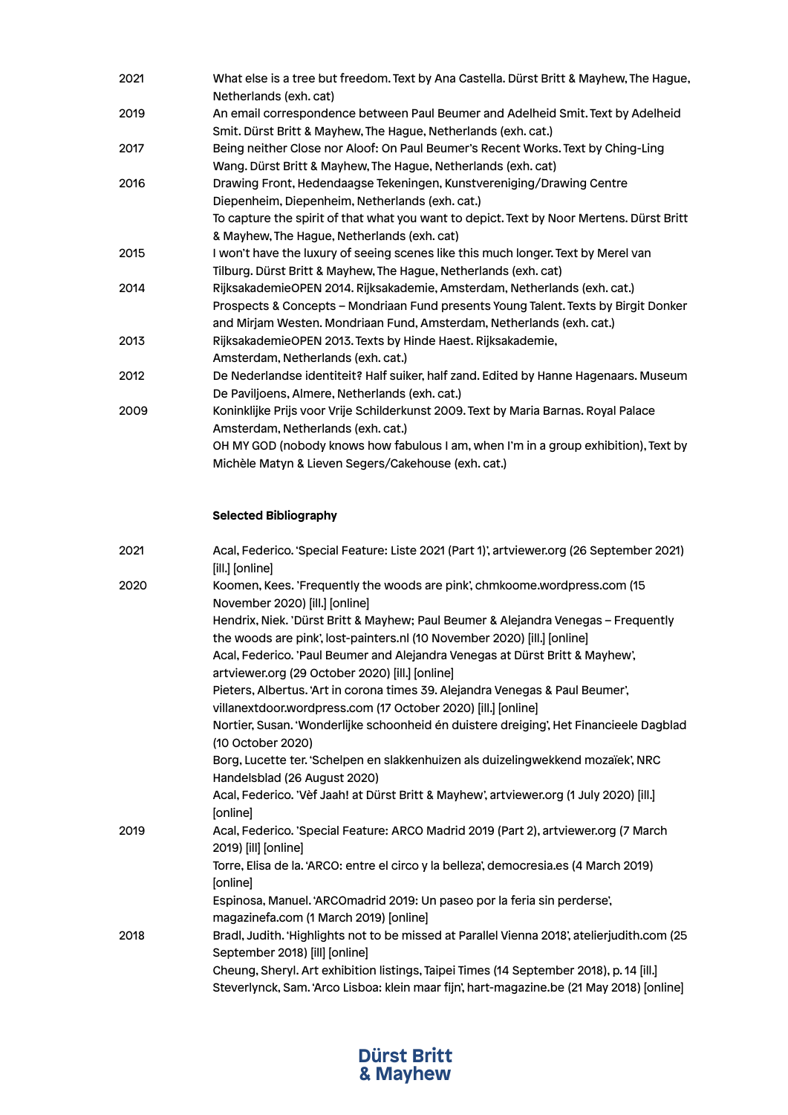| 2021 | What else is a tree but freedom. Text by Ana Castella. Dürst Britt & Mayhew, The Hague,<br>Netherlands (exh. cat)                                                                                                                         |
|------|-------------------------------------------------------------------------------------------------------------------------------------------------------------------------------------------------------------------------------------------|
| 2019 | An email correspondence between Paul Beumer and Adelheid Smit. Text by Adelheid<br>Smit. Dürst Britt & Mayhew, The Hague, Netherlands (exh. cat.)                                                                                         |
| 2017 | Being neither Close nor Aloof: On Paul Beumer's Recent Works. Text by Ching-Ling<br>Wang. Dürst Britt & Mayhew, The Hague, Netherlands (exh. cat)                                                                                         |
| 2016 | Drawing Front, Hedendaagse Tekeningen, Kunstvereniging/Drawing Centre<br>Diepenheim, Diepenheim, Netherlands (exh. cat.)                                                                                                                  |
|      | To capture the spirit of that what you want to depict. Text by Noor Mertens. Dürst Britt<br>& Mayhew, The Hague, Netherlands (exh. cat)                                                                                                   |
| 2015 | I won't have the luxury of seeing scenes like this much longer. Text by Merel van<br>Tilburg. Dürst Britt & Mayhew, The Hague, Netherlands (exh. cat)                                                                                     |
| 2014 | RijksakademieOPEN 2014. Rijksakademie, Amsterdam, Netherlands (exh. cat.)<br>Prospects & Concepts - Mondriaan Fund presents Young Talent. Texts by Birgit Donker<br>and Mirjam Westen. Mondriaan Fund, Amsterdam, Netherlands (exh. cat.) |
| 2013 | RijksakademieOPEN 2013. Texts by Hinde Haest. Rijksakademie,<br>Amsterdam, Netherlands (exh. cat.)                                                                                                                                        |
| 2012 | De Nederlandse identiteit? Half suiker, half zand. Edited by Hanne Hagenaars. Museum<br>De Paviljoens, Almere, Netherlands (exh. cat.)                                                                                                    |
| 2009 | Koninklijke Prijs voor Vrije Schilderkunst 2009. Text by Maria Barnas. Royal Palace<br>Amsterdam, Netherlands (exh. cat.)<br>OH MY GOD (nobody knows how fabulous I am, when I'm in a group exhibition), Text by                          |
|      | Michèle Matyn & Lieven Segers/Cakehouse (exh. cat.)                                                                                                                                                                                       |

## **Selected Bibliography**

| Acal, Federico. 'Special Feature: Liste 2021 (Part 1)', artviewer.org (26 September 2021)<br>[ill.] [online]                                                                         |
|--------------------------------------------------------------------------------------------------------------------------------------------------------------------------------------|
| Koomen, Kees. 'Frequently the woods are pink', chmkoome.wordpress.com (15)<br>November 2020) [ill.] [online]                                                                         |
| Hendrix, Niek. 'Dürst Britt & Mayhew; Paul Beumer & Alejandra Venegas - Frequently                                                                                                   |
| the woods are pink', lost-painters.nl (10 November 2020) [ill.] [online]                                                                                                             |
| Acal, Federico. 'Paul Beumer and Alejandra Venegas at Dürst Britt & Mayhew',<br>artviewer.org (29 October 2020) [ill.] [online]                                                      |
| Pieters, Albertus. 'Art in corona times 39. Alejandra Venegas & Paul Beumer',                                                                                                        |
| villanextdoor.wordpress.com (17 October 2020) [ill.] [online]                                                                                                                        |
| Nortier, Susan. 'Wonderlijke schoonheid én duistere dreiging', Het Financieele Dagblad<br>(10 October 2020)                                                                          |
| Borg, Lucette ter. 'Schelpen en slakkenhuizen als duizelingwekkend mozaïek', NRC                                                                                                     |
| Handelsblad (26 August 2020)                                                                                                                                                         |
| Acal, Federico. 'Vef Jaah! at Dürst Britt & Mayhew', artviewer.org (1 July 2020) [ill.]<br>[online]                                                                                  |
| Acal, Federico. 'Special Feature: ARCO Madrid 2019 (Part 2), artviewer.org (7 March<br>2019) [ill] [online]                                                                          |
| Torre, Elisa de la. 'ARCO: entre el circo y la belleza', democresia.es (4 March 2019)<br>[online]                                                                                    |
| Espinosa, Manuel. 'ARCOmadrid 2019: Un paseo por la feria sin perderse',<br>magazinefa.com (1 March 2019) [online]                                                                   |
| Bradl, Judith. 'Highlights not to be missed at Parallel Vienna 2018', atelierjudith.com (25<br>September 2018) [ill] [online]                                                        |
| Cheung, Sheryl. Art exhibition listings, Taipei Times (14 September 2018), p. 14 [ill.]<br>Steverlynck, Sam. 'Arco Lisboa: klein maar fijn', hart-magazine.be (21 May 2018) [online] |
|                                                                                                                                                                                      |

# **Dürst Britt & Mayhew**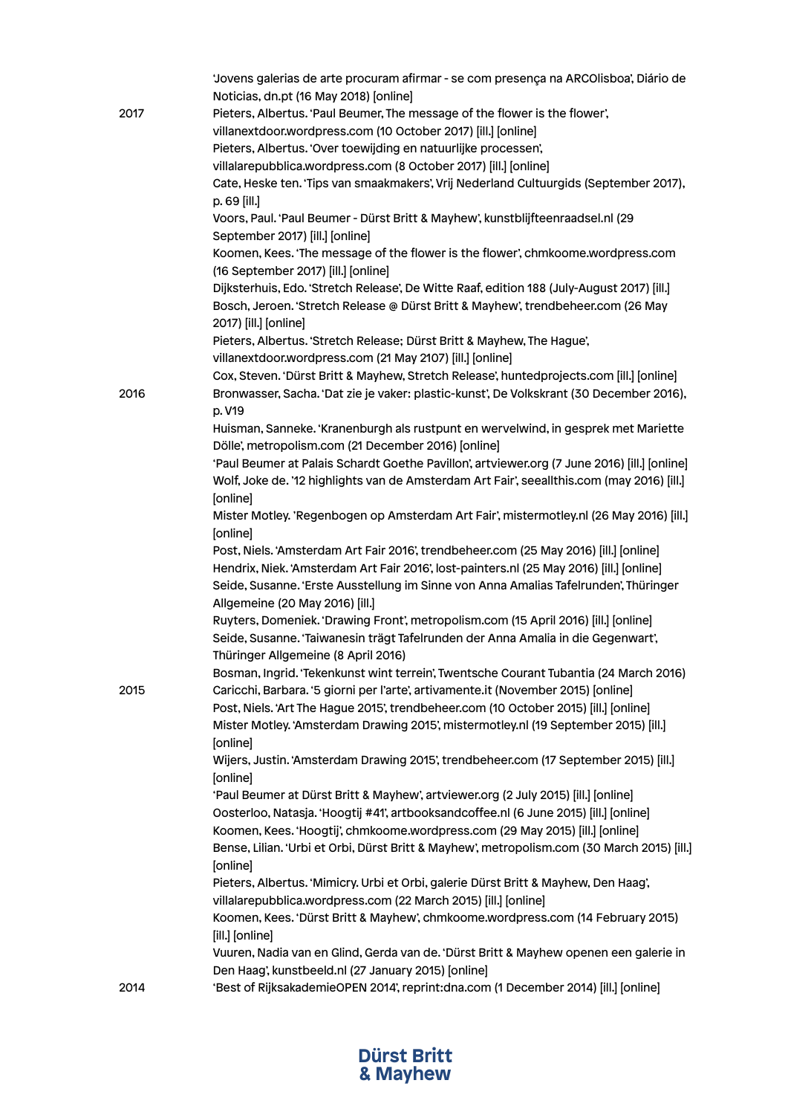|      | 'Jovens galerias de arte procuram afirmar - se com presença na ARCOlisboa', Diário de<br>Noticias, dn.pt (16 May 2018) [online] |
|------|---------------------------------------------------------------------------------------------------------------------------------|
| 2017 | Pieters, Albertus. 'Paul Beumer, The message of the flower is the flower',                                                      |
|      | villanextdoor.wordpress.com (10 October 2017) [ill.] [online]                                                                   |
|      | Pieters, Albertus. 'Over toewijding en natuurlijke processen',                                                                  |
|      |                                                                                                                                 |
|      | villalarepubblica.wordpress.com (8 October 2017) [ill.] [online]                                                                |
|      | Cate, Heske ten. 'Tips van smaakmakers', Vrij Nederland Cultuurgids (September 2017),<br>p. 69 [ill.]                           |
|      | Voors, Paul. 'Paul Beumer - Dürst Britt & Mayhew', kunstblijfteenraadsel.nl (29                                                 |
|      | September 2017) [ill.] [online]                                                                                                 |
|      | Koomen, Kees. 'The message of the flower is the flower', chmkoome.wordpress.com                                                 |
|      | (16 September 2017) [ill.] [online]                                                                                             |
|      | Dijksterhuis, Edo. 'Stretch Release', De Witte Raaf, edition 188 (July-August 2017) [ill.]                                      |
|      | Bosch, Jeroen. 'Stretch Release @ Dürst Britt & Mayhew', trendbeheer.com (26 May                                                |
|      | 2017) [ill.] [online]                                                                                                           |
|      | Pieters, Albertus. 'Stretch Release; Dürst Britt & Mayhew, The Hague',                                                          |
|      | villanextdoor.wordpress.com (21 May 2107) [ill.] [online]                                                                       |
|      | Cox, Steven. 'Dürst Britt & Mayhew, Stretch Release', huntedprojects.com [ill.] [online]                                        |
| 2016 | Bronwasser, Sacha. 'Dat zie je vaker: plastic-kunst', De Volkskrant (30 December 2016),                                         |
|      | p. V19                                                                                                                          |
|      | Huisman, Sanneke. 'Kranenburgh als rustpunt en wervelwind, in gesprek met Mariette                                              |
|      | Dölle', metropolism.com (21 December 2016) [online]                                                                             |
|      | 'Paul Beumer at Palais Schardt Goethe Pavillon', artviewer.org (7 June 2016) [ill.] [online]                                    |
|      | Wolf, Joke de. '12 highlights van de Amsterdam Art Fair', seeallthis.com (may 2016) [ill.]                                      |
|      | [online]                                                                                                                        |
|      | Mister Motley. 'Regenbogen op Amsterdam Art Fair', mistermotley.nl (26 May 2016) [ill.]                                         |
|      | [online]                                                                                                                        |
|      | Post, Niels. 'Amsterdam Art Fair 2016', trendbeheer.com (25 May 2016) [ill.] [online]                                           |
|      | Hendrix, Niek. 'Amsterdam Art Fair 2016', lost-painters.nl (25 May 2016) [ill.] [online]                                        |
|      | Seide, Susanne. 'Erste Ausstellung im Sinne von Anna Amalias Tafelrunden', Thüringer                                            |
|      | Allgemeine (20 May 2016) [ill.]                                                                                                 |
|      | Ruyters, Domeniek. 'Drawing Front', metropolism.com (15 April 2016) [ill.] [online]                                             |
|      | Seide, Susanne. 'Taiwanesin trägt Tafelrunden der Anna Amalia in die Gegenwart',                                                |
|      | Thüringer Allgemeine (8 April 2016)                                                                                             |
|      | Bosman, Ingrid. 'Tekenkunst wint terrein', Twentsche Courant Tubantia (24 March 2016)                                           |
| 2015 | Caricchi, Barbara. '5 giorni per l'arte', artivamente.it (November 2015) [online]                                               |
|      | Post, Niels. 'Art The Hague 2015', trendbeheer.com (10 October 2015) [ill.] [online]                                            |
|      | Mister Motley. 'Amsterdam Drawing 2015', mistermotley.nl (19 September 2015) [ill.]                                             |
|      | [online]                                                                                                                        |
|      | Wijers, Justin. 'Amsterdam Drawing 2015', trendbeheer.com (17 September 2015) [ill.]                                            |
|      | [online]                                                                                                                        |
|      | 'Paul Beumer at Dürst Britt & Mayhew', artviewer.org (2 July 2015) [ill.] [online]                                              |
|      | Oosterloo, Natasja. 'Hoogtij #41', artbooksandcoffee.nl (6 June 2015) [ill.] [online]                                           |
|      | Koomen, Kees. 'Hoogtij', chmkoome.wordpress.com (29 May 2015) [ill.] [online]                                                   |
|      | Bense, Lilian. 'Urbi et Orbi, Dürst Britt & Mayhew', metropolism.com (30 March 2015) [ill.]                                     |
|      | [online]                                                                                                                        |
|      | Pieters, Albertus. 'Mimicry. Urbi et Orbi, galerie Dürst Britt & Mayhew, Den Haag',                                             |
|      | villalarepubblica.wordpress.com (22 March 2015) [ill.] [online]                                                                 |
|      | Koomen, Kees. 'Dürst Britt & Mayhew', chmkoome.wordpress.com (14 February 2015)                                                 |
|      | [ill.] [online]                                                                                                                 |
|      | Vuuren, Nadia van en Glind, Gerda van de. 'Dürst Britt & Mayhew openen een galerie in                                           |
|      | Den Haag', kunstbeeld.nl (27 January 2015) [online]                                                                             |
| 2014 | 'Best of RijksakademieOPEN 2014', reprint:dna.com (1 December 2014) [ill.] [online]                                             |
|      |                                                                                                                                 |

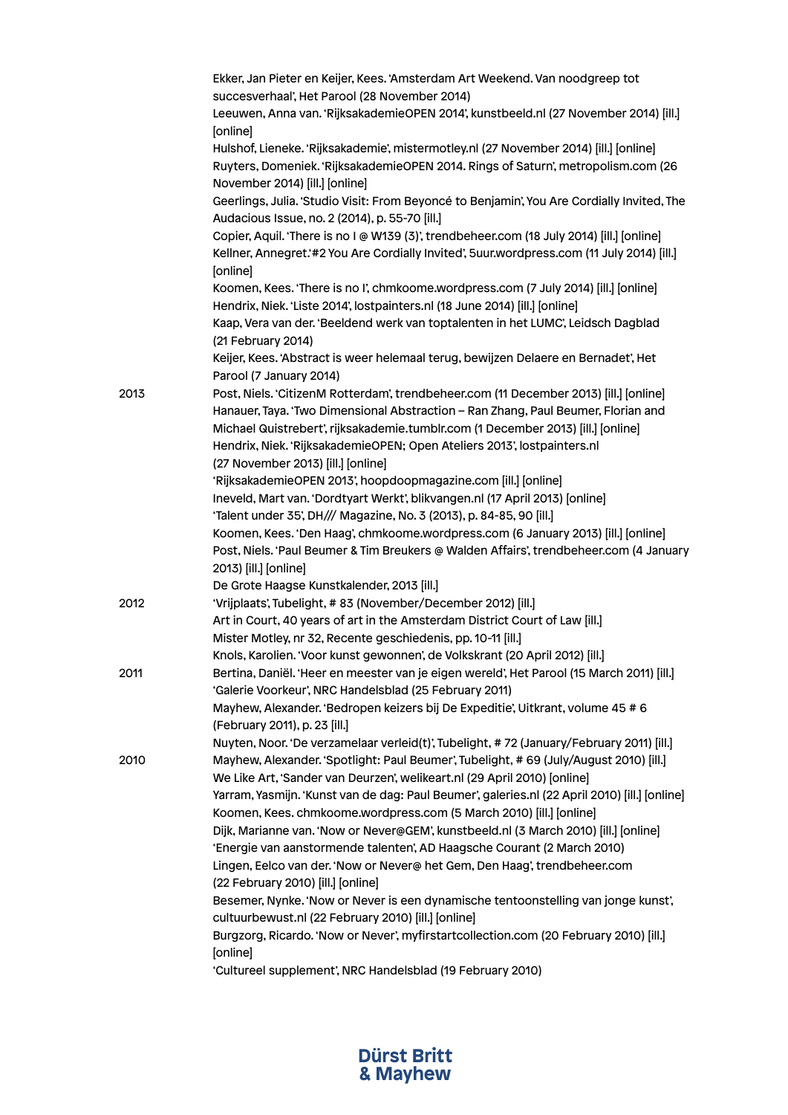|      | Ekker, Jan Pieter en Keijer, Kees. 'Amsterdam Art Weekend. Van noodgreep tot<br>succesverhaal', Het Parool (28 November 2014)                                                                                                       |
|------|-------------------------------------------------------------------------------------------------------------------------------------------------------------------------------------------------------------------------------------|
|      | Leeuwen, Anna van. 'RijksakademieOPEN 2014', kunstbeeld.nl (27 November 2014) [ill.]<br>[online]                                                                                                                                    |
|      | Hulshof, Lieneke. 'Rijksakademie', mistermotley.nl (27 November 2014) [ill.] [online]<br>Ruyters, Domeniek. 'RijksakademieOPEN 2014. Rings of Saturn', metropolism.com (26<br>November 2014) [ill.] [online]                        |
|      | Geerlings, Julia. 'Studio Visit: From Beyoncé to Benjamin', You Are Cordially Invited, The<br>Audacious Issue, no. 2 (2014), p. 55-70 [ill.]                                                                                        |
|      | Copier, Aquil. 'There is no I @ W139 (3)', trendbeheer.com (18 July 2014) [ill.] [online]<br>Kellner, Annegret:#2 You Are Cordially Invited', 5uur.wordpress.com (11 July 2014) [ill.]<br>[online]                                  |
|      | Koomen, Kees. 'There is no I', chmkoome.wordpress.com (7 July 2014) [ill.] [online]                                                                                                                                                 |
|      | Hendrix, Niek. 'Liste 2014', lostpainters.nl (18 June 2014) [ill.] [online]<br>Kaap, Vera van der. 'Beeldend werk van toptalenten in het LUMC', Leidsch Dagblad<br>(21 February 2014)                                               |
|      | Keijer, Kees. 'Abstract is weer helemaal terug, bewijzen Delaere en Bernadet', Het<br>Parool (7 January 2014)                                                                                                                       |
| 2013 | Post, Niels. 'CitizenM Rotterdam', trendbeheer.com (11 December 2013) [ill.] [online]<br>Hanauer, Taya. 'Two Dimensional Abstraction - Ran Zhang, Paul Beumer, Florian and                                                          |
|      | Michael Quistrebert', rijksakademie.tumblr.com (1 December 2013) [ill.] [online]<br>Hendrix, Niek. 'RijksakademieOPEN; Open Ateliers 2013', lostpainters.nl                                                                         |
|      | (27 November 2013) [ill.] [online]                                                                                                                                                                                                  |
|      | 'RijksakademieOPEN 2013', hoopdoopmagazine.com [ill.] [online]<br>Ineveld, Mart van. 'Dordtyart Werkt', blikvangen.nl (17 April 2013) [online]<br>'Talent under 35', DH/// Magazine, No. 3 (2013), p. 84-85, 90 [ill.]              |
|      | Koomen, Kees. 'Den Haag', chmkoome.wordpress.com (6 January 2013) [ill.] [online]<br>Post, Niels. 'Paul Beumer & Tim Breukers @ Walden Affairs', trendbeheer.com (4 January<br>2013) [ill.] [online]                                |
|      | De Grote Haagse Kunstkalender, 2013 [ill.]                                                                                                                                                                                          |
| 2012 | 'Vrijplaats', Tubelight, # 83 (November/December 2012) [ill.]                                                                                                                                                                       |
|      | Art in Court, 40 years of art in the Amsterdam District Court of Law [ill.]                                                                                                                                                         |
|      | Mister Motley, nr 32, Recente geschiedenis, pp. 10-11 [ill.]                                                                                                                                                                        |
| 2011 | Knols, Karolien. 'Voor kunst gewonnen', de Volkskrant (20 April 2012) [ill.]<br>Bertina, Daniël. 'Heer en meester van je eigen wereld', Het Parool (15 March 2011) [ill.]<br>'Galerie Voorkeur', NRC Handelsblad (25 February 2011) |
|      | Mayhew, Alexander. 'Bedropen keizers bij De Expeditie', Uitkrant, volume 45 # 6<br>(February 2011), p. 23 [ill.]                                                                                                                    |
| 2010 | Nuyten, Noor. 'De verzamelaar verleid(t)', Tubelight, #72 (January/February 2011) [ill.]<br>Mayhew, Alexander. 'Spotlight: Paul Beumer', Tubelight, #69 (July/August 2010) [ill.]                                                   |
|      | We Like Art, 'Sander van Deurzen', welikeart.nl (29 April 2010) [online]<br>Yarram, Yasmijn. 'Kunst van de dag: Paul Beumer', galeries.nl (22 April 2010) [ill.] [online]                                                           |
|      | Koomen, Kees. chmkoome.wordpress.com (5 March 2010) [ill.] [online]                                                                                                                                                                 |
|      | Dijk, Marianne van. 'Now or Never@GEM', kunstbeeld.nl (3 March 2010) [ill.] [online]                                                                                                                                                |
|      | 'Energie van aanstormende talenten', AD Haagsche Courant (2 March 2010)<br>Lingen, Eelco van der. 'Now or Never@ het Gem, Den Haag', trendbeheer.com<br>(22 February 2010) [ill.] [online]                                          |
|      | Besemer, Nynke. 'Now or Never is een dynamische tentoonstelling van jonge kunst',<br>cultuurbewust.nl (22 February 2010) [ill.] [online]                                                                                            |
|      | Burgzorg, Ricardo. 'Now or Never', myfirstartcollection.com (20 February 2010) [ill.]<br>[online]                                                                                                                                   |
|      | 'Cultureel supplement', NRC Handelsblad (19 February 2010)                                                                                                                                                                          |